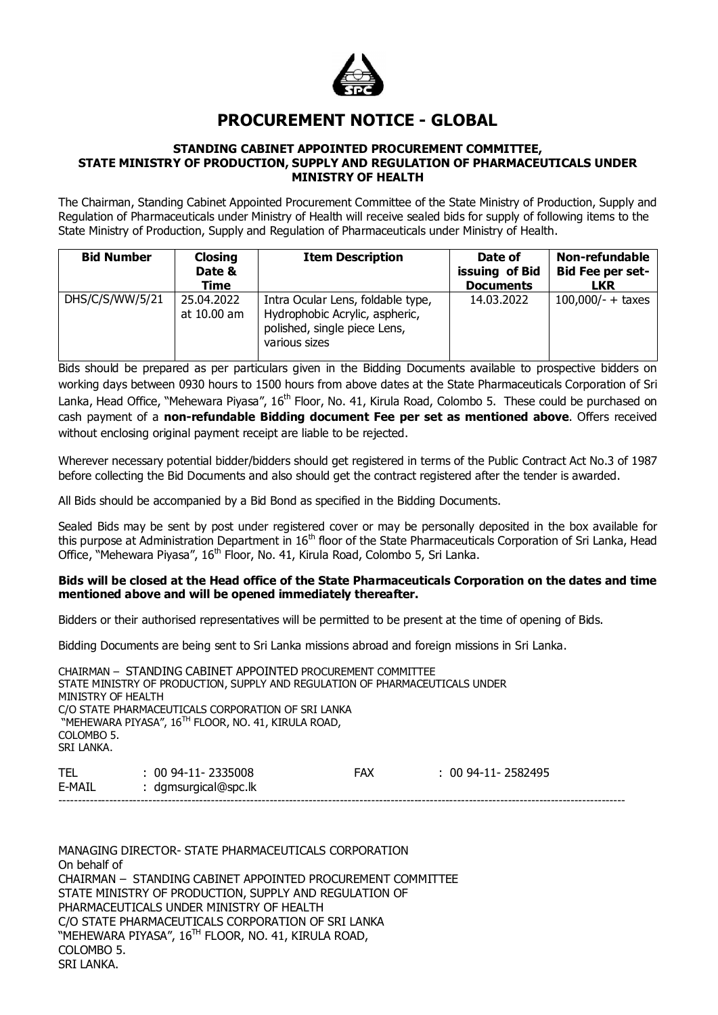

# **PROCUREMENT NOTICE - GLOBAL**

#### **STANDING CABINET APPOINTED PROCUREMENT COMMITTEE, STATE MINISTRY OF PRODUCTION, SUPPLY AND REGULATION OF PHARMACEUTICALS UNDER MINISTRY OF HEALTH**

The Chairman, Standing Cabinet Appointed Procurement Committee of the State Ministry of Production, Supply and Regulation of Pharmaceuticals under Ministry of Health will receive sealed bids for supply of following items to the State Ministry of Production, Supply and Regulation of Pharmaceuticals under Ministry of Health.

| <b>Bid Number</b> | <b>Closing</b><br>Date &<br>Time | <b>Item Description</b>                                                                                              | Date of<br>issuing of Bid<br><b>Documents</b> | Non-refundable<br><b>Bid Fee per set-</b><br>LKR |
|-------------------|----------------------------------|----------------------------------------------------------------------------------------------------------------------|-----------------------------------------------|--------------------------------------------------|
| DHS/C/S/WW/5/21   | 25.04.2022<br>at 10.00 am        | Intra Ocular Lens, foldable type,<br>Hydrophobic Acrylic, aspheric,<br>polished, single piece Lens,<br>various sizes | 14.03.2022                                    | $100,000/- +$ taxes                              |

Bids should be prepared as per particulars given in the Bidding Documents available to prospective bidders on working days between 0930 hours to 1500 hours from above dates at the State Pharmaceuticals Corporation of Sri Lanka, Head Office, "Mehewara Piyasa", 16<sup>th</sup> Floor, No. 41, Kirula Road, Colombo 5. These could be purchased on cash payment of a **non-refundable Bidding document Fee per set as mentioned above**. Offers received without enclosing original payment receipt are liable to be rejected.

Wherever necessary potential bidder/bidders should get registered in terms of the Public Contract Act No.3 of 1987 before collecting the Bid Documents and also should get the contract registered after the tender is awarded.

All Bids should be accompanied by a Bid Bond as specified in the Bidding Documents.

Sealed Bids may be sent by post under registered cover or may be personally deposited in the box available for this purpose at Administration Department in 16<sup>th</sup> floor of the State Pharmaceuticals Corporation of Sri Lanka, Head Office, "Mehewara Piyasa", 16<sup>th</sup> Floor, No. 41, Kirula Road, Colombo 5, Sri Lanka.

#### **Bids will be closed at the Head office of the State Pharmaceuticals Corporation on the dates and time mentioned above and will be opened immediately thereafter.**

Bidders or their authorised representatives will be permitted to be present at the time of opening of Bids.

Bidding Documents are being sent to Sri Lanka missions abroad and foreign missions in Sri Lanka.

CHAIRMAN – STANDING CABINET APPOINTED PROCUREMENT COMMITTEE STATE MINISTRY OF PRODUCTION, SUPPLY AND REGULATION OF PHARMACEUTICALS UNDER MINISTRY OF HEALTH C/O STATE PHARMACEUTICALS CORPORATION OF SRI LANKA "MEHEWARA PIYASA", 16<sup>TH</sup> FLOOR, NO. 41, KIRULA ROAD, COLOMBO<sub>5</sub>. SRI LANKA.

TEL : 00 94-11- 2335008 FAX : 00 94-11- 2582495<br>E-MAIL : damsuraical@spc.lk : dgmsurgical@spc.lk -------------------------------------------------------------------------------------------------------------------------------------------------

MANAGING DIRECTOR- STATE PHARMACEUTICALS CORPORATION On behalf of CHAIRMAN – STANDING CABINET APPOINTED PROCUREMENT COMMITTEE STATE MINISTRY OF PRODUCTION, SUPPLY AND REGULATION OF PHARMACEUTICALS UNDER MINISTRY OF HEALTH C/O STATE PHARMACEUTICALS CORPORATION OF SRI LANKA "MEHEWARA PIYASA", 16<sup>TH</sup> FLOOR, NO. 41, KIRULA ROAD, COLOMBO 5. SRI LANKA.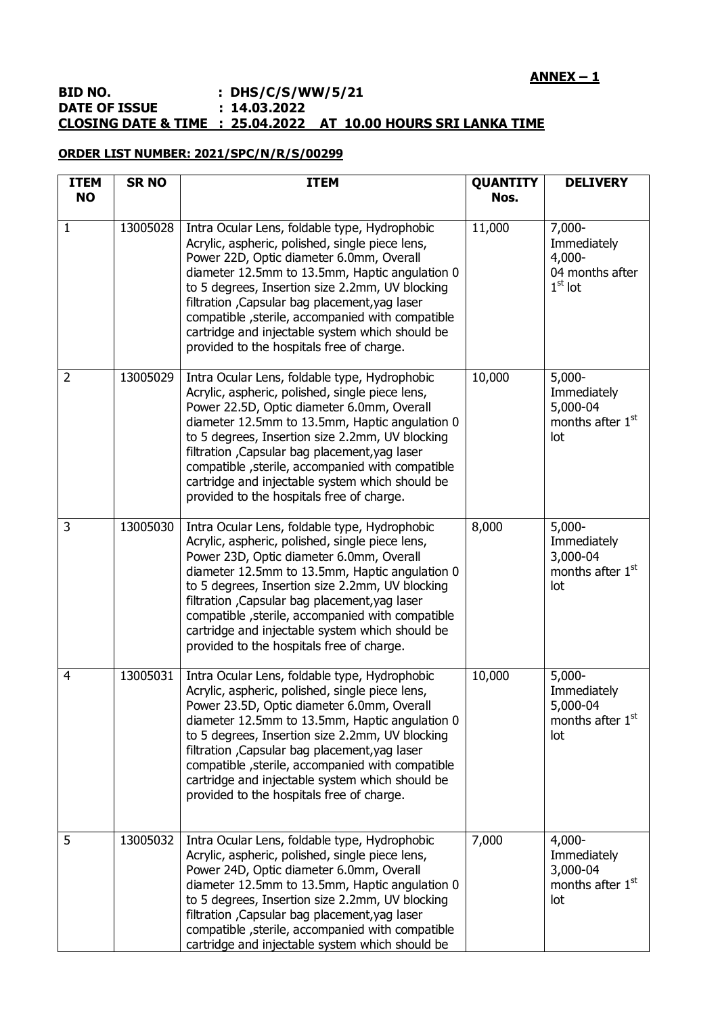## **ANNEX – 1**

### **BID NO.** : DHS/C/S/WW/5/21<br>DATE OF ISSUE : 14.03.2022 **DATE OF ISSUE CLOSING DATE & TIME : 25.04.2022 AT 10.00 HOURS SRI LANKA TIME**

## **ORDER LIST NUMBER: 2021/SPC/N/R/S/00299**

| <b>ITEM</b><br><b>NO</b> | <b>SR NO</b> | <b>ITEM</b>                                                                                                                                                                                                                                                                                                                                                                                                                                               | <b>QUANTITY</b><br>Nos. | <b>DELIVERY</b>                                                             |
|--------------------------|--------------|-----------------------------------------------------------------------------------------------------------------------------------------------------------------------------------------------------------------------------------------------------------------------------------------------------------------------------------------------------------------------------------------------------------------------------------------------------------|-------------------------|-----------------------------------------------------------------------------|
| 1                        | 13005028     | Intra Ocular Lens, foldable type, Hydrophobic<br>Acrylic, aspheric, polished, single piece lens,<br>Power 22D, Optic diameter 6.0mm, Overall<br>diameter 12.5mm to 13.5mm, Haptic angulation 0<br>to 5 degrees, Insertion size 2.2mm, UV blocking<br>filtration, Capsular bag placement, yag laser<br>compatible, sterile, accompanied with compatible<br>cartridge and injectable system which should be<br>provided to the hospitals free of charge.    | 11,000                  | $7,000 -$<br>Immediately<br>$4,000-$<br>04 months after<br>$1st$ lot        |
| $\overline{2}$           | 13005029     | Intra Ocular Lens, foldable type, Hydrophobic<br>Acrylic, aspheric, polished, single piece lens,<br>Power 22.5D, Optic diameter 6.0mm, Overall<br>diameter 12.5mm to 13.5mm, Haptic angulation 0<br>to 5 degrees, Insertion size 2.2mm, UV blocking<br>filtration , Capsular bag placement, yag laser<br>compatible, sterile, accompanied with compatible<br>cartridge and injectable system which should be<br>provided to the hospitals free of charge. | 10,000                  | $5,000 -$<br>Immediately<br>5,000-04<br>months after 1 <sup>st</sup><br>lot |
| $\overline{3}$           | 13005030     | Intra Ocular Lens, foldable type, Hydrophobic<br>Acrylic, aspheric, polished, single piece lens,<br>Power 23D, Optic diameter 6.0mm, Overall<br>diameter 12.5mm to 13.5mm, Haptic angulation 0<br>to 5 degrees, Insertion size 2.2mm, UV blocking<br>filtration , Capsular bag placement, yag laser<br>compatible, sterile, accompanied with compatible<br>cartridge and injectable system which should be<br>provided to the hospitals free of charge.   | 8,000                   | $5,000 -$<br>Immediately<br>3,000-04<br>months after 1 <sup>st</sup><br>lot |
| $\overline{4}$           | 13005031     | Intra Ocular Lens, foldable type, Hydrophobic<br>Acrylic, aspheric, polished, single piece lens,<br>Power 23.5D, Optic diameter 6.0mm, Overall<br>diameter 12.5mm to 13.5mm, Haptic angulation 0<br>to 5 degrees, Insertion size 2.2mm, UV blocking<br>filtration, Capsular bag placement, yag laser<br>compatible, sterile, accompanied with compatible<br>cartridge and injectable system which should be<br>provided to the hospitals free of charge.  | 10,000                  | $5,000 -$<br>Immediately<br>5,000-04<br>months after 1 <sup>st</sup><br>lot |
| 5                        | 13005032     | Intra Ocular Lens, foldable type, Hydrophobic<br>Acrylic, aspheric, polished, single piece lens,<br>Power 24D, Optic diameter 6.0mm, Overall<br>diameter 12.5mm to 13.5mm, Haptic angulation 0<br>to 5 degrees, Insertion size 2.2mm, UV blocking<br>filtration, Capsular bag placement, yag laser<br>compatible, sterile, accompanied with compatible<br>cartridge and injectable system which should be                                                 | 7,000                   | $4,000 -$<br>Immediately<br>3,000-04<br>months after 1 <sup>st</sup><br>lot |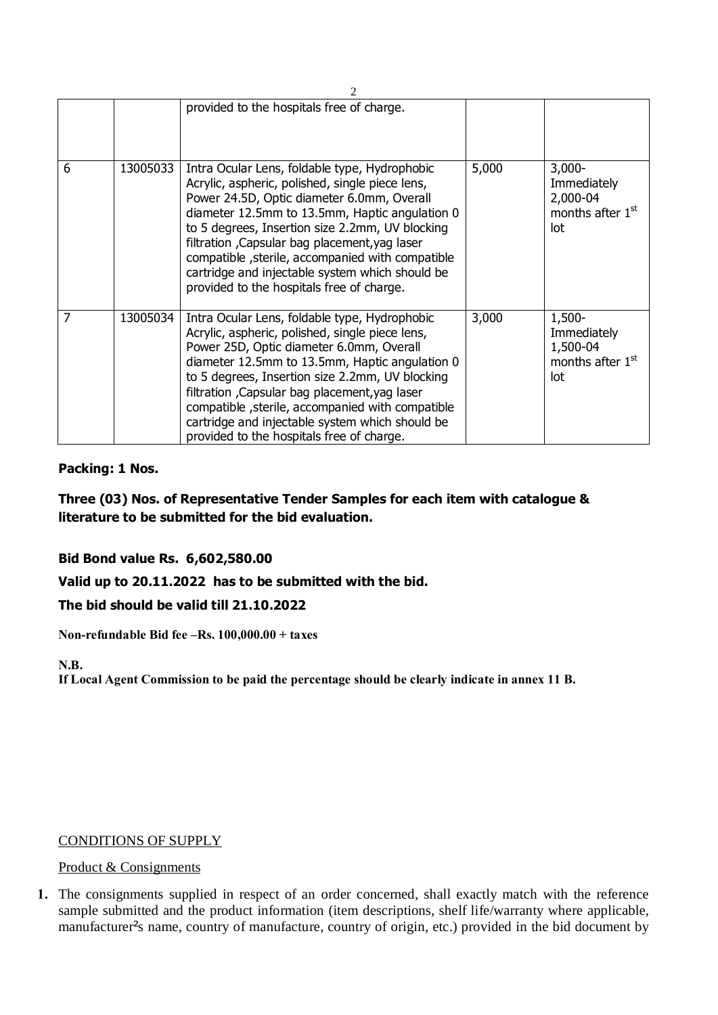|   |          | provided to the hospitals free of charge.                                                                                                                                                                                                                                                                                                                                                                                                                |       |                                                                             |  |  |  |
|---|----------|----------------------------------------------------------------------------------------------------------------------------------------------------------------------------------------------------------------------------------------------------------------------------------------------------------------------------------------------------------------------------------------------------------------------------------------------------------|-------|-----------------------------------------------------------------------------|--|--|--|
| 6 | 13005033 | Intra Ocular Lens, foldable type, Hydrophobic<br>Acrylic, aspheric, polished, single piece lens,<br>Power 24.5D, Optic diameter 6.0mm, Overall<br>diameter 12.5mm to 13.5mm, Haptic angulation 0<br>to 5 degrees, Insertion size 2.2mm, UV blocking<br>filtration, Capsular bag placement, yag laser<br>compatible, sterile, accompanied with compatible<br>cartridge and injectable system which should be<br>provided to the hospitals free of charge. | 5,000 | $3,000 -$<br>Immediately<br>2,000-04<br>months after 1 <sup>st</sup><br>lot |  |  |  |
| 7 | 13005034 | Intra Ocular Lens, foldable type, Hydrophobic<br>Acrylic, aspheric, polished, single piece lens,<br>Power 25D, Optic diameter 6.0mm, Overall<br>diameter 12.5mm to 13.5mm, Haptic angulation 0<br>to 5 degrees, Insertion size 2.2mm, UV blocking<br>filtration, Capsular bag placement, yag laser<br>compatible, sterile, accompanied with compatible<br>cartridge and injectable system which should be<br>provided to the hospitals free of charge.   | 3,000 | 1,500-<br>Immediately<br>1,500-04<br>months after 1 <sup>st</sup><br>lot    |  |  |  |

## **Packing: 1 Nos.**

**Three (03) Nos. of Representative Tender Samples for each item with catalogue & literature to be submitted for the bid evaluation.**

## **Bid Bond value Rs. 6,602,580.00**

## **Valid up to 20.11.2022 has to be submitted with the bid.**

## **The bid should be valid till 21.10.2022**

**Non-refundable Bid fee –Rs. 100,000.00 + taxes**

## **N.B.**

**If Local Agent Commission to be paid the percentage should be clearly indicate in annex 11 B.**

## CONDITIONS OF SUPPLY

#### Product & Consignments

**1.** The consignments supplied in respect of an order concerned, shall exactly match with the reference sample submitted and the product information (item descriptions, shelf life/warranty where applicable, manufacturer's name, country of manufacture, country of origin, etc.) provided in the bid document by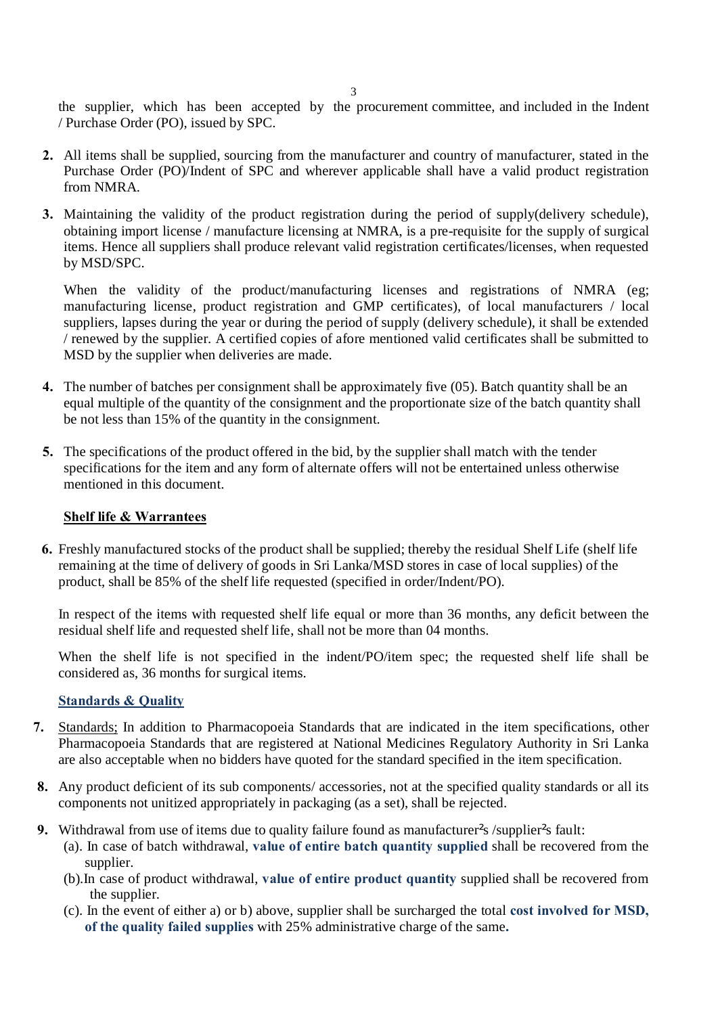the supplier, which has been accepted by the procurement committee, and included in the Indent / Purchase Order (PO), issued by SPC.

- **2.** All items shall be supplied, sourcing from the manufacturer and country of manufacturer, stated in the Purchase Order (PO)/Indent of SPC and wherever applicable shall have a valid product registration from NMRA.
- **3.** Maintaining the validity of the product registration during the period of supply(delivery schedule), obtaining import license / manufacture licensing at NMRA, is a pre-requisite for the supply of surgical items. Hence all suppliers shall produce relevant valid registration certificates/licenses, when requested by MSD/SPC.

When the validity of the product/manufacturing licenses and registrations of NMRA (eg; manufacturing license, product registration and GMP certificates), of local manufacturers / local suppliers, lapses during the year or during the period of supply (delivery schedule), it shall be extended / renewed by the supplier. A certified copies of afore mentioned valid certificates shall be submitted to MSD by the supplier when deliveries are made.

- **4.** The number of batches per consignment shall be approximately five (05). Batch quantity shall be an equal multiple of the quantity of the consignment and the proportionate size of the batch quantity shall be not less than 15% of the quantity in the consignment.
- **5.** The specifications of the product offered in the bid, by the supplier shall match with the tender specifications for the item and any form of alternate offers will not be entertained unless otherwise mentioned in this document.

#### **Shelf life & Warrantees**

**6.** Freshly manufactured stocks of the product shall be supplied; thereby the residual Shelf Life (shelf life remaining at the time of delivery of goods in Sri Lanka/MSD stores in case of local supplies) of the product, shall be 85% of the shelf life requested (specified in order/Indent/PO).

In respect of the items with requested shelf life equal or more than 36 months, any deficit between the residual shelf life and requested shelf life, shall not be more than 04 months.

When the shelf life is not specified in the indent/PO/item spec; the requested shelf life shall be considered as, 36 months for surgical items.

#### **Standards & Quality**

- **7.** Standards; In addition to Pharmacopoeia Standards that are indicated in the item specifications, other Pharmacopoeia Standards that are registered at National Medicines Regulatory Authority in Sri Lanka are also acceptable when no bidders have quoted for the standard specified in the item specification.
- **8.** Any product deficient of its sub components/ accessories, not at the specified quality standards or all its components not unitized appropriately in packaging (as a set), shall be rejected.
- **9.** Withdrawal from use of items due to quality failure found as manufacturer<sup>s</sup> /supplier<sup>s</sup> fault:
	- (a). In case of batch withdrawal, **value of entire batch quantity supplied** shall be recovered from the supplier.
	- (b).In case of product withdrawal, **value of entire product quantity** supplied shall be recovered from the supplier.
	- (c). In the event of either a) or b) above, supplier shall be surcharged the total **cost involved for MSD, of the quality failed supplies** with 25% administrative charge of the same**.**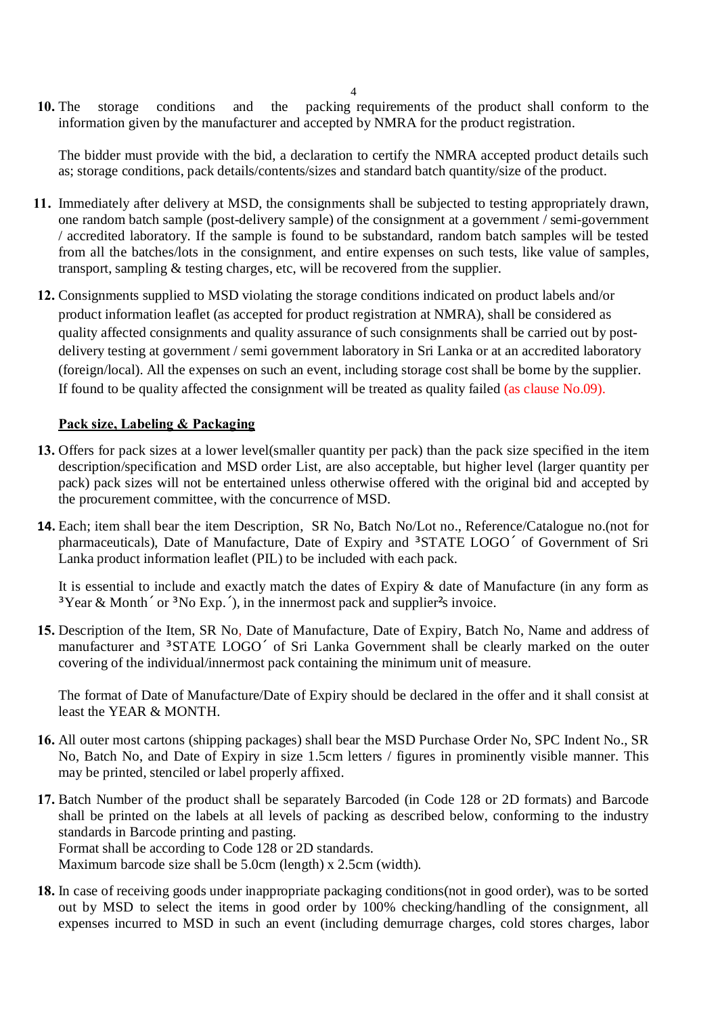**10.** The storage conditions and the packing requirements of the product shall conform to the information given by the manufacturer and accepted by NMRA for the product registration.

The bidder must provide with the bid, a declaration to certify the NMRA accepted product details such as; storage conditions, pack details/contents/sizes and standard batch quantity/size of the product.

- **11.** Immediately after delivery at MSD, the consignments shall be subjected to testing appropriately drawn, one random batch sample (post-delivery sample) of the consignment at a government / semi-government / accredited laboratory. If the sample is found to be substandard, random batch samples will be tested from all the batches/lots in the consignment, and entire expenses on such tests, like value of samples, transport, sampling & testing charges, etc, will be recovered from the supplier.
- **12.** Consignments supplied to MSD violating the storage conditions indicated on product labels and/or product information leaflet (as accepted for product registration at NMRA), shall be considered as quality affected consignments and quality assurance of such consignments shall be carried out by postdelivery testing at government / semi government laboratory in Sri Lanka or at an accredited laboratory (foreign/local). All the expenses on such an event, including storage cost shall be borne by the supplier. If found to be quality affected the consignment will be treated as quality failed (as clause No.09).

## **Pack size, Labeling & Packaging**

- **13.** Offers for pack sizes at a lower level(smaller quantity per pack) than the pack size specified in the item description/specification and MSD order List, are also acceptable, but higher level (larger quantity per pack) pack sizes will not be entertained unless otherwise offered with the original bid and accepted by the procurement committee, with the concurrence of MSD.
- **14.** Each; item shall bear the item Description, SR No, Batch No/Lot no., Reference/Catalogue no.(not for pharmaceuticals), Date of Manufacture, Date of Expiry and  $\cdot$  STATE LOGO of Government of Sri Lanka product information leaflet (PIL) to be included with each pack.

It is essential to include and exactly match the dates of Expiry & date of Manufacture (in any form as  $\cdot$  Year & Month, or  $\cdot$  No Exp., ), in the innermost pack and supplier<sup>s</sup> invoice.

**15.** Description of the Item, SR No, Date of Manufacture, Date of Expiry, Batch No, Name and address of manufacturer and STATE LOGO of Sri Lanka Government shall be clearly marked on the outer covering of the individual/innermost pack containing the minimum unit of measure.

The format of Date of Manufacture/Date of Expiry should be declared in the offer and it shall consist at least the YEAR & MONTH.

- **16.** All outer most cartons (shipping packages) shall bear the MSD Purchase Order No, SPC Indent No., SR No, Batch No, and Date of Expiry in size 1.5cm letters / figures in prominently visible manner. This may be printed, stenciled or label properly affixed.
- **17.** Batch Number of the product shall be separately Barcoded (in Code 128 or 2D formats) and Barcode shall be printed on the labels at all levels of packing as described below, conforming to the industry standards in Barcode printing and pasting. Format shall be according to Code 128 or 2D standards. Maximum barcode size shall be 5.0cm (length) x 2.5cm (width).
- **18.** In case of receiving goods under inappropriate packaging conditions(not in good order), was to be sorted out by MSD to select the items in good order by 100% checking/handling of the consignment, all expenses incurred to MSD in such an event (including demurrage charges, cold stores charges, labor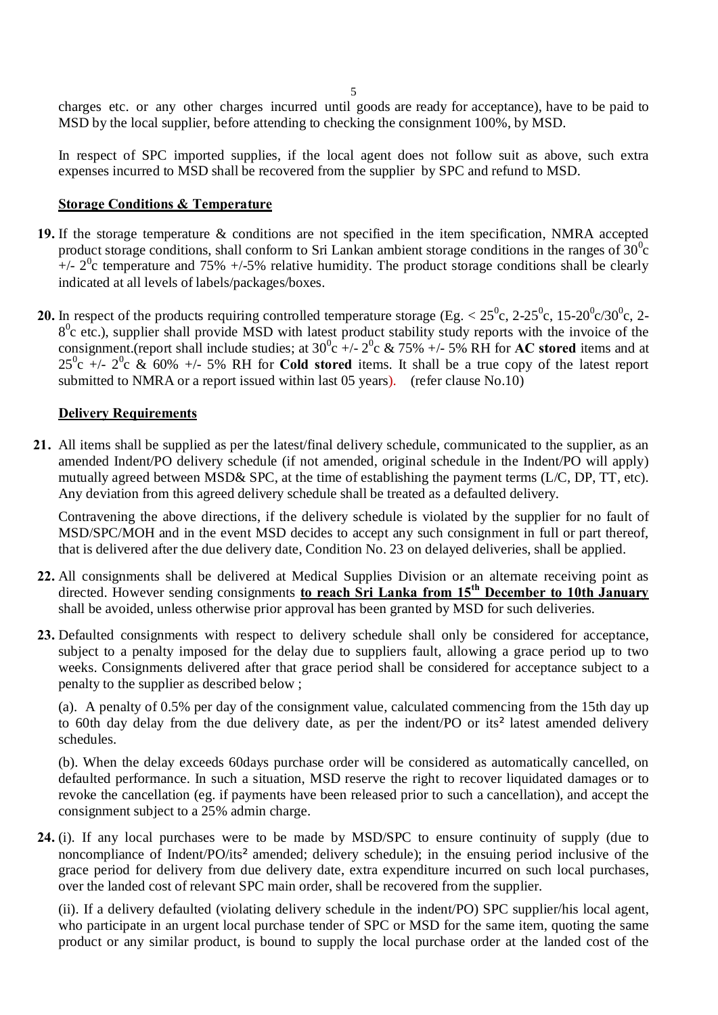charges etc. or any other charges incurred until goods are ready for acceptance), have to be paid to MSD by the local supplier, before attending to checking the consignment 100%, by MSD.

In respect of SPC imported supplies, if the local agent does not follow suit as above, such extra expenses incurred to MSD shall be recovered from the supplier by SPC and refund to MSD.

## **Storage Conditions & Temperature**

- **19.** If the storage temperature & conditions are not specified in the item specification, NMRA accepted product storage conditions, shall conform to Sri Lankan ambient storage conditions in the ranges of  $30^0c$  $+/- 2$ <sup>0</sup>c temperature and 75%  $+/-5$ % relative humidity. The product storage conditions shall be clearly indicated at all levels of labels/packages/boxes.
- **20.** In respect of the products requiring controlled temperature storage (Eg.  $< 25^{\circ}$ c, 2-25<sup>°</sup>c, 15-20<sup>°</sup>c/30<sup>°</sup>c, 2- $8<sup>0</sup>c$  etc.), supplier shall provide MSD with latest product stability study reports with the invoice of the consignment.(report shall include studies; at  $30^{\circ}$ c +/-  $2^{\circ}$ c & 75% +/- 5% RH for **AC stored** items and at  $25^0$ c +/-  $2^0$ c & 60% +/- 5% RH for **Cold stored** items. It shall be a true copy of the latest report submitted to NMRA or a report issued within last 05 years). (refer clause No.10)

### **Delivery Requirements**

**21.** All items shall be supplied as per the latest/final delivery schedule, communicated to the supplier, as an amended Indent/PO delivery schedule (if not amended, original schedule in the Indent/PO will apply) mutually agreed between MSD& SPC, at the time of establishing the payment terms (L/C, DP, TT, etc). Any deviation from this agreed delivery schedule shall be treated as a defaulted delivery.

Contravening the above directions, if the delivery schedule is violated by the supplier for no fault of MSD/SPC/MOH and in the event MSD decides to accept any such consignment in full or part thereof, that is delivered after the due delivery date, Condition No. 23 on delayed deliveries, shall be applied.

- **22.** All consignments shall be delivered at Medical Supplies Division or an alternate receiving point as directed. However sending consignments **to reach Sri Lanka from 15th December to 10th January**  shall be avoided, unless otherwise prior approval has been granted by MSD for such deliveries.
- **23.** Defaulted consignments with respect to delivery schedule shall only be considered for acceptance, subject to a penalty imposed for the delay due to suppliers fault, allowing a grace period up to two weeks. Consignments delivered after that grace period shall be considered for acceptance subject to a penalty to the supplier as described below ;

(a). A penalty of 0.5% per day of the consignment value, calculated commencing from the 15th day up to 60th day delay from the due delivery date, as per the indent/PO or its¶ latest amended delivery schedules.

(b). When the delay exceeds 60days purchase order will be considered as automatically cancelled, on defaulted performance. In such a situation, MSD reserve the right to recover liquidated damages or to revoke the cancellation (eg. if payments have been released prior to such a cancellation), and accept the consignment subject to a 25% admin charge.

**24.** (i). If any local purchases were to be made by MSD/SPC to ensure continuity of supply (due to noncompliance of Indent/PO/its¶ amended; delivery schedule); in the ensuing period inclusive of the grace period for delivery from due delivery date, extra expenditure incurred on such local purchases, over the landed cost of relevant SPC main order, shall be recovered from the supplier.

(ii). If a delivery defaulted (violating delivery schedule in the indent/PO) SPC supplier/his local agent, who participate in an urgent local purchase tender of SPC or MSD for the same item, quoting the same product or any similar product, is bound to supply the local purchase order at the landed cost of the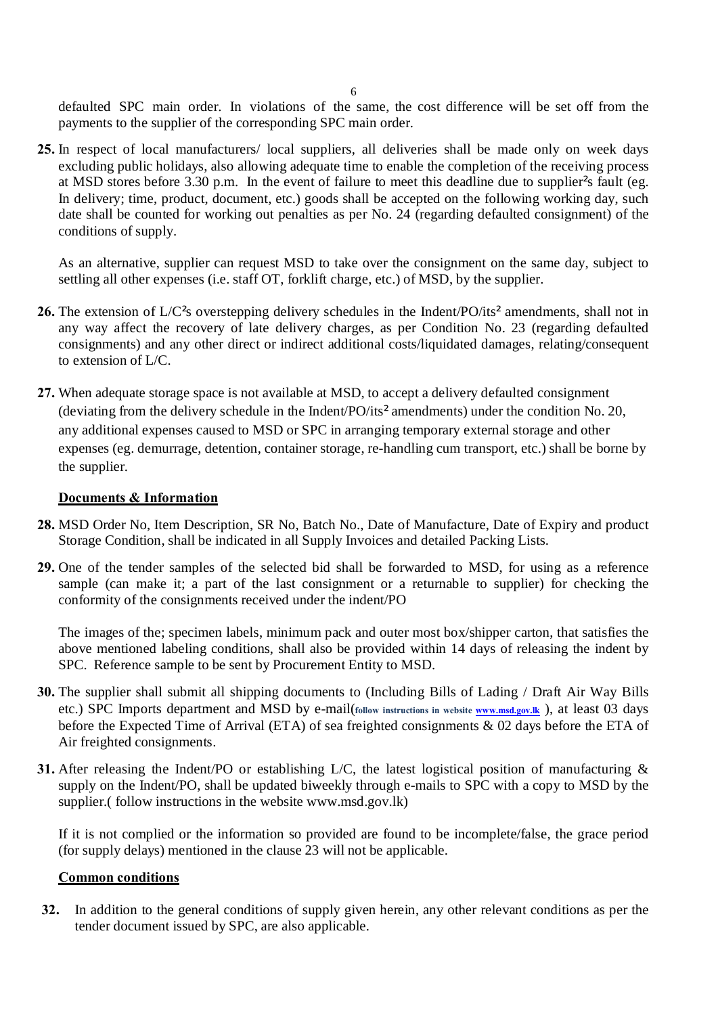defaulted SPC main order. In violations of the same, the cost difference will be set off from the payments to the supplier of the corresponding SPC main order.

**25.** In respect of local manufacturers/ local suppliers, all deliveries shall be made only on week days excluding public holidays, also allowing adequate time to enable the completion of the receiving process at MSD stores before 3.30 p.m. In the event of failure to meet this deadline due to supplier's fault (eg. In delivery; time, product, document, etc.) goods shall be accepted on the following working day, such date shall be counted for working out penalties as per No. 24 (regarding defaulted consignment) of the conditions of supply.

As an alternative, supplier can request MSD to take over the consignment on the same day, subject to settling all other expenses (i.e. staff OT, forklift charge, etc.) of MSD, by the supplier.

- 26. The extension of L/C<sup>'</sup>s overstepping delivery schedules in the Indent/PO/its' amendments, shall not in any way affect the recovery of late delivery charges, as per Condition No. 23 (regarding defaulted consignments) and any other direct or indirect additional costs/liquidated damages, relating/consequent to extension of L/C.
- **27.** When adequate storage space is not available at MSD, to accept a delivery defaulted consignment (deviating from the delivery schedule in the Indent/PO/its¶amendments) under the condition No. 20, any additional expenses caused to MSD or SPC in arranging temporary external storage and other expenses (eg. demurrage, detention, container storage, re-handling cum transport, etc.) shall be borne by the supplier.

### **Documents & Information**

- **28.** MSD Order No, Item Description, SR No, Batch No., Date of Manufacture, Date of Expiry and product Storage Condition, shall be indicated in all Supply Invoices and detailed Packing Lists.
- **29.** One of the tender samples of the selected bid shall be forwarded to MSD, for using as a reference sample (can make it; a part of the last consignment or a returnable to supplier) for checking the conformity of the consignments received under the indent/PO

The images of the; specimen labels, minimum pack and outer most box/shipper carton, that satisfies the above mentioned labeling conditions, shall also be provided within 14 days of releasing the indent by SPC. Reference sample to be sent by Procurement Entity to MSD.

- **30.** The supplier shall submit all shipping documents to (Including Bills of L[ading / Draf](http://www.msd.gov.lk/)t Air Way Bills etc.) SPC Imports department and MSD by e-mail(**follow instructions in website www.msd.gov.lk** ), at least 03 days before the Expected Time of Arrival (ETA) of sea freighted consignments & 02 days before the ETA of Air freighted consignments.
- **31.** After releasing the Indent/PO or establishing L/C, the latest logistical position of manufacturing & supply on the Indent/PO, shall be updated biweekly through e-mails to SPC with a copy to MSD by the supplier.( follow instructions in the website www.msd.gov.lk)

If it is not complied or the information so provided are found to be incomplete/false, the grace period (for supply delays) mentioned in the clause 23 will not be applicable.

#### **Common conditions**

**32.** In addition to the general conditions of supply given herein, any other relevant conditions as per the tender document issued by SPC, are also applicable.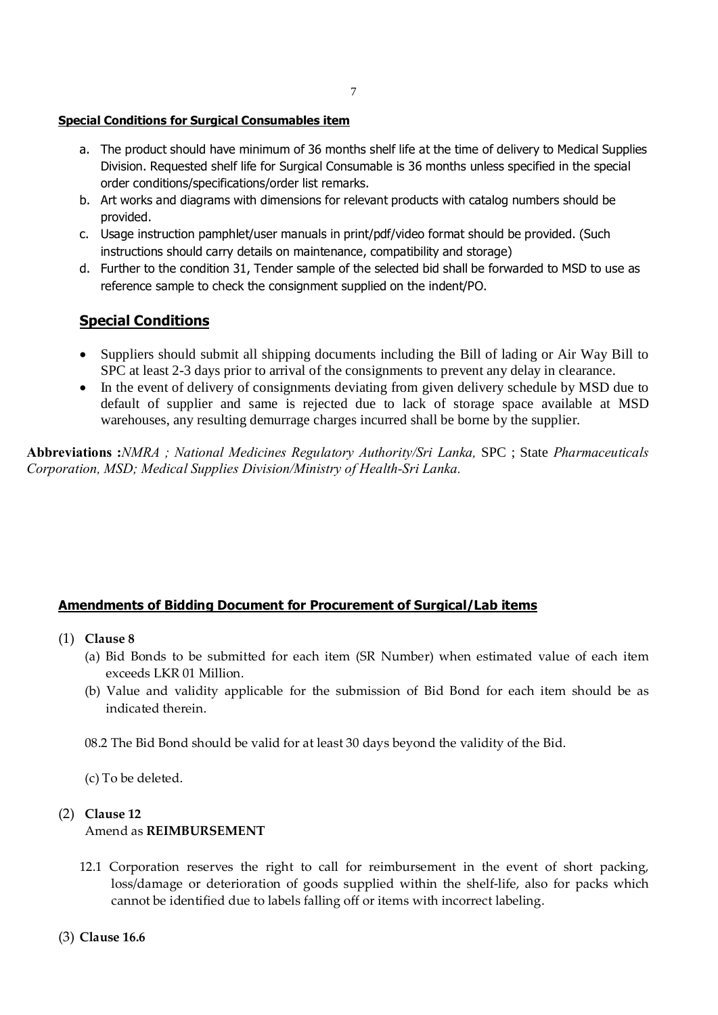#### **Special Conditions for Surgical Consumables item**

- a. The product should have minimum of 36 months shelf life at the time of delivery to Medical Supplies Division. Requested shelf life for Surgical Consumable is 36 months unless specified in the special order conditions/specifications/order list remarks.
- b. Art works and diagrams with dimensions for relevant products with catalog numbers should be provided.
- c. Usage instruction pamphlet/user manuals in print/pdf/video format should be provided. (Such instructions should carry details on maintenance, compatibility and storage)
- d. Further to the condition 31, Tender sample of the selected bid shall be forwarded to MSD to use as reference sample to check the consignment supplied on the indent/PO.

## **Special Conditions**

- · Suppliers should submit all shipping documents including the Bill of lading or Air Way Bill to SPC at least 2-3 days prior to arrival of the consignments to prevent any delay in clearance.
- In the event of delivery of consignments deviating from given delivery schedule by MSD due to default of supplier and same is rejected due to lack of storage space available at MSD warehouses, any resulting demurrage charges incurred shall be borne by the supplier.

**Abbreviations :***NMRA ; National Medicines Regulatory Authority/Sri Lanka,* SPC ; State *Pharmaceuticals Corporation, MSD; Medical Supplies Division/Ministry of Health-Sri Lanka.*

#### **Amendments of Bidding Document for Procurement of Surgical/Lab items**

- (1) **Clause 8**
	- (a) Bid Bonds to be submitted for each item (SR Number) when estimated value of each item exceeds LKR 01 Million.
	- (b) Value and validity applicable for the submission of Bid Bond for each item should be as indicated therein.

08.2 The Bid Bond should be valid for at least 30 days beyond the validity of the Bid.

(c) To be deleted.

#### (2) **Clause 12**

#### Amend as **REIMBURSEMENT**

12.1 Corporation reserves the right to call for reimbursement in the event of short packing, loss/damage or deterioration of goods supplied within the shelf-life, also for packs which cannot be identified due to labels falling off or items with incorrect labeling.

(3) **Clause 16.6**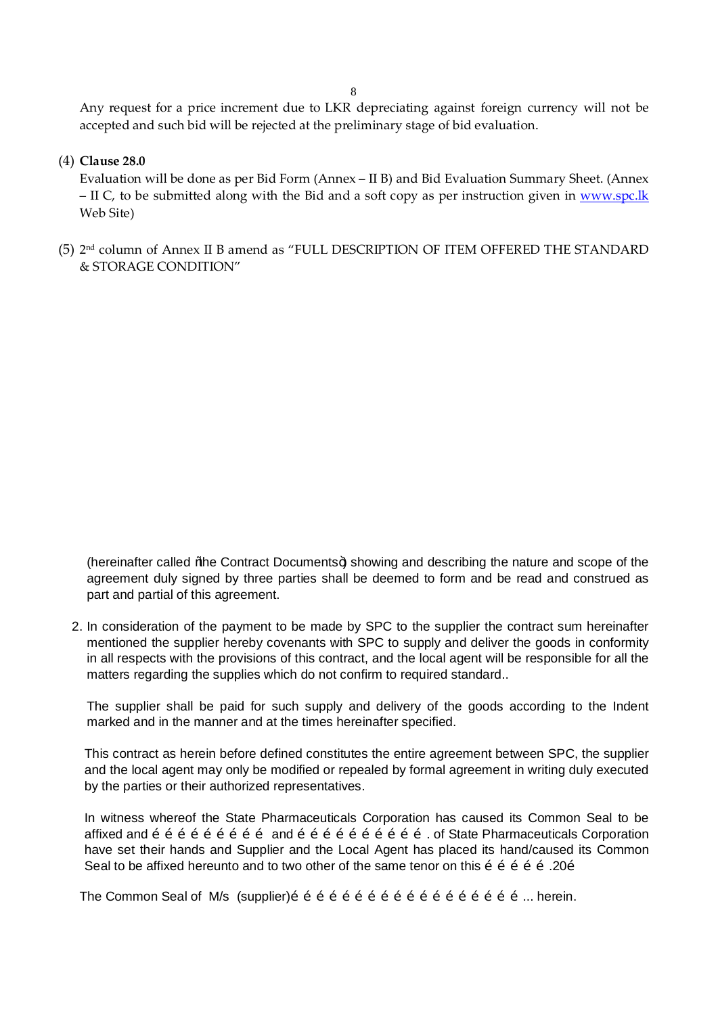Any request for a price increment due to LKR depreciating against foreign currency will not be accepted and such bid will be rejected at the preliminary stage of bid evaluation.

(4) **Clause 28.0** 

Evaluation will be done as per Bid Form (Annex – II B) and Bid Evaluation Summary Sheet. (Annex – II C, to be submitted along with the Bid and a soft copy as per instruction given in www.spc.lk Web Site)

(5) 2nd column of Annex II B amend as "FULL DESCRIPTION OF ITEM OFFERED THE STANDARD & STORAGE CONDITION"

(hereinafter called % be Contract Documents+) showing and describing the nature and scope of the agreement duly signed by three parties shall be deemed to form and be read and construed as part and partial of this agreement.

2. In consideration of the payment to be made by SPC to the supplier the contract sum hereinafter mentioned the supplier hereby covenants with SPC to supply and deliver the goods in conformity in all respects with the provisions of this contract, and the local agent will be responsible for all the matters regarding the supplies which do not confirm to required standard..

The supplier shall be paid for such supply and delivery of the goods according to the Indent marked and in the manner and at the times hereinafter specified.

This contract as herein before defined constitutes the entire agreement between SPC, the supplier and the local agent may only be modified or repealed by formal agreement in writing duly executed by the parties or their authorized representatives.

In witness whereof the State Pharmaceuticals Corporation has caused its Common Seal to be affixed and  $\tilde{o}$   $\tilde{o}$   $\tilde{o}$   $\tilde{o}$   $\tilde{o}$   $\tilde{o}$   $\tilde{o}$   $\tilde{o}$   $\tilde{o}$   $\tilde{o}$   $\tilde{o}$   $\tilde{o}$   $\tilde{o}$   $\tilde{o}$   $\tilde{o}$   $\tilde{o}$   $\tilde{o}$   $\tilde{o}$   $\tilde{o}$   $\tilde{o}$   $\tilde{o}$   $\tilde{o}$   $\tilde{o}$   $\tilde{o}$   $\tilde{o}$   $\tilde{o}$   $\$ have set their hands and Supplier and the Local Agent has placed its hand/caused its Common Seal to be affixed hereunto and to two other of the same tenor on this  $\tilde{\sigma}$   $\tilde{\sigma}$   $\tilde{\sigma}$   $\tilde{\sigma}$  . 20 $\tilde{\sigma}$ 

The Common Seal of M/s (supplier)………………………………………………... herein.